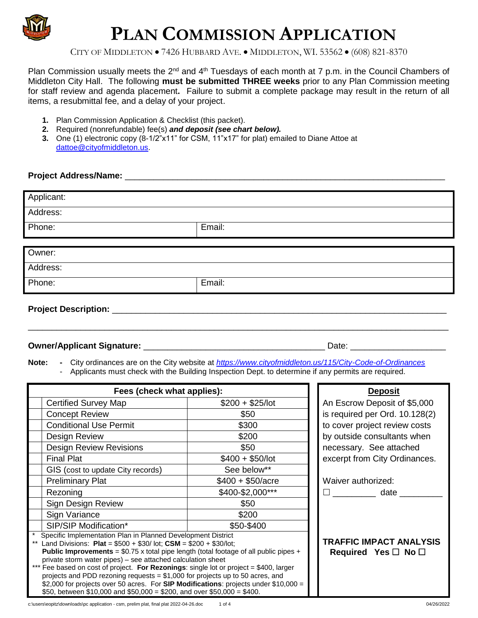

# **PLAN COMMISSION APPLICATION**

CITY OF MIDDLETON • 7426 HUBBARD AVE. • MIDDLETON, WI. 53562 • (608) 821-8370

Plan Commission usually meets the  $2^{nd}$  and  $4^{th}$  Tuesdays of each month at 7 p.m. in the Council Chambers of Middleton City Hall. The following **must be submitted THREE weeks** prior to any Plan Commission meeting for staff review and agenda placement**.** Failure to submit a complete package may result in the return of all items, a resubmittal fee, and a delay of your project.

- **1.** Plan Commission Application & Checklist (this packet).
- **2.** Required (nonrefundable) fee(s) *and deposit (see chart below).*
- **3.** One (1) electronic copy (8-1/2"x11" for CSM, 11"x17" for plat) emailed to Diane Attoe at [dattoe@cityofmiddleton.us.](mailto:dattoe@cityofmiddleton.us)

### **Project Address/Name:** \_\_\_\_\_\_\_\_\_\_\_\_\_\_\_\_\_\_\_\_\_\_\_\_\_\_\_\_\_\_\_\_\_\_\_\_\_\_\_\_\_\_\_\_\_\_\_\_\_\_\_\_\_\_\_\_\_\_\_\_\_\_\_\_\_\_\_

| Applicant:                  |        |
|-----------------------------|--------|
|                             |        |
| Address:                    |        |
|                             |        |
| Phone:                      | Email: |
|                             |        |
|                             |        |
| Owner:                      |        |
|                             |        |
| Address:                    |        |
|                             |        |
| Phone:                      | Email: |
|                             |        |
|                             |        |
| <b>Project Description:</b> |        |
|                             |        |

\_\_\_\_\_\_\_\_\_\_\_\_\_\_\_\_\_\_\_\_\_\_\_\_\_\_\_\_\_\_\_\_\_\_\_\_\_\_\_\_\_\_\_\_\_\_\_\_\_\_\_\_\_\_\_\_\_\_\_\_\_\_\_\_\_\_\_\_\_\_\_\_\_\_\_\_\_\_\_\_\_\_\_\_\_\_\_\_

#### **Owner/Applicant Signature:** \_\_\_\_\_\_\_\_\_\_\_\_\_\_\_\_\_\_\_\_\_\_\_\_\_\_\_\_\_\_\_\_\_\_\_\_\_\_ Date: \_\_\_\_\_\_\_\_\_\_\_\_\_\_\_\_\_\_\_\_

**Note: -** City ordinances are on the City website at *<https://www.cityofmiddleton.us/115/City-Code-of-Ordinances>* - Applicants must check with the Building Inspection Dept. to determine if any permits are required.

| Fees (check what applies):                                                                    |                    | <b>Deposit</b>                 |
|-----------------------------------------------------------------------------------------------|--------------------|--------------------------------|
| <b>Certified Survey Map</b>                                                                   | $$200 + $25/$ lot  | An Escrow Deposit of \$5,000   |
| <b>Concept Review</b>                                                                         | \$50               | is required per Ord. 10.128(2) |
| <b>Conditional Use Permit</b>                                                                 | \$300              | to cover project review costs  |
| Design Review                                                                                 | \$200              | by outside consultants when    |
| <b>Design Review Revisions</b>                                                                | \$50               | necessary. See attached        |
| <b>Final Plat</b>                                                                             | $$400 + $50/lot$   | excerpt from City Ordinances.  |
| GIS (cost to update City records)                                                             | See below**        |                                |
| <b>Preliminary Plat</b>                                                                       | $$400 + $50/$ acre | Waiver authorized:             |
| Rezoning                                                                                      | \$400-\$2,000***   | date                           |
| Sign Design Review                                                                            | \$50               |                                |
| Sign Variance                                                                                 | \$200              |                                |
| SIP/SIP Modification*                                                                         | \$50-\$400         |                                |
| Specific Implementation Plan in Planned Development District                                  |                    |                                |
| Land Divisions: Plat = $$500 + $30/$ lot; CSM = $$200 + $30/$ lot;                            |                    | <b>TRAFFIC IMPACT ANALYSIS</b> |
| <b>Public Improvements</b> = $$0.75$ x total pipe length (total footage of all public pipes + |                    | Required Yes $\Box$ No $\Box$  |
| private storm water pipes) – see attached calculation sheet                                   |                    |                                |
| *** Fee based on cost of project. For Rezonings: single lot or project = \$400, larger        |                    |                                |
| projects and PDD rezoning requests = $$1,000$ for projects up to 50 acres, and                |                    |                                |
| \$2,000 for projects over 50 acres. For SIP Modifications: projects under $$10,000 =$         |                    |                                |
| \$50, between \$10,000 and \$50,000 = \$200, and over \$50,000 = \$400.                       |                    |                                |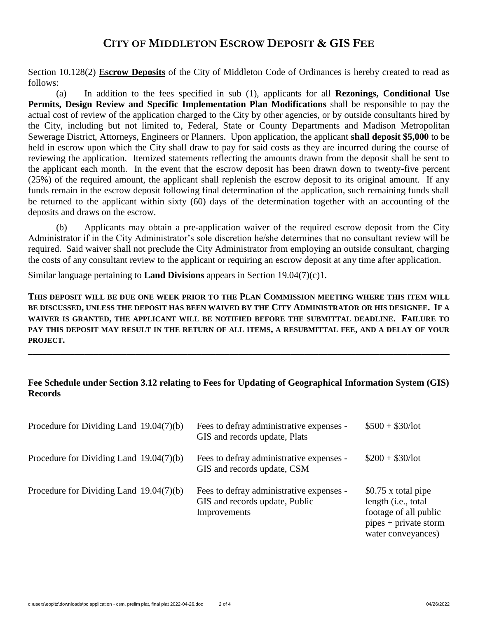## **CITY OF MIDDLETON ESCROW DEPOSIT & GIS FEE**

Section 10.128(2) **Escrow Deposits** of the City of Middleton Code of Ordinances is hereby created to read as follows:

(a) In addition to the fees specified in sub (1), applicants for all **Rezonings, Conditional Use Permits, Design Review and Specific Implementation Plan Modifications** shall be responsible to pay the actual cost of review of the application charged to the City by other agencies, or by outside consultants hired by the City, including but not limited to, Federal, State or County Departments and Madison Metropolitan Sewerage District, Attorneys, Engineers or Planners. Upon application, the applicant **shall deposit \$5,000** to be held in escrow upon which the City shall draw to pay for said costs as they are incurred during the course of reviewing the application. Itemized statements reflecting the amounts drawn from the deposit shall be sent to the applicant each month. In the event that the escrow deposit has been drawn down to twenty-five percent (25%) of the required amount, the applicant shall replenish the escrow deposit to its original amount. If any funds remain in the escrow deposit following final determination of the application, such remaining funds shall be returned to the applicant within sixty (60) days of the determination together with an accounting of the deposits and draws on the escrow.

(b) Applicants may obtain a pre-application waiver of the required escrow deposit from the City Administrator if in the City Administrator's sole discretion he/she determines that no consultant review will be required. Said waiver shall not preclude the City Administrator from employing an outside consultant, charging the costs of any consultant review to the applicant or requiring an escrow deposit at any time after application.

Similar language pertaining to **Land Divisions** appears in Section 19.04(7)(c)1.

**THIS DEPOSIT WILL BE DUE ONE WEEK PRIOR TO THE PLAN COMMISSION MEETING WHERE THIS ITEM WILL BE DISCUSSED, UNLESS THE DEPOSIT HAS BEEN WAIVED BY THE CITY ADMINISTRATOR OR HIS DESIGNEE. IF A WAIVER IS GRANTED, THE APPLICANT WILL BE NOTIFIED BEFORE THE SUBMITTAL DEADLINE. FAILURE TO PAY THIS DEPOSIT MAY RESULT IN THE RETURN OF ALL ITEMS, A RESUBMITTAL FEE, AND A DELAY OF YOUR PROJECT.**

**\_\_\_\_\_\_\_\_\_\_\_\_\_\_\_\_\_\_\_\_\_\_\_\_\_\_\_\_\_\_\_\_\_\_\_\_\_\_\_\_\_\_\_\_\_\_\_\_\_\_\_\_\_\_\_\_\_\_\_\_\_\_\_\_\_\_\_\_\_\_\_\_\_\_\_\_\_\_\_\_\_\_\_\_\_\_\_\_\_\_**

## **Fee Schedule under Section 3.12 relating to Fees for Updating of Geographical Information System (GIS) Records**

| Procedure for Dividing Land $19.04(7)(b)$ | Fees to defray administrative expenses -<br>GIS and records update, Plats                  | $$500 + $30/lot$                                                                                                     |
|-------------------------------------------|--------------------------------------------------------------------------------------------|----------------------------------------------------------------------------------------------------------------------|
| Procedure for Dividing Land $19.04(7)(b)$ | Fees to defray administrative expenses -<br>GIS and records update, CSM                    | $$200 + $30/lot$                                                                                                     |
| Procedure for Dividing Land $19.04(7)(b)$ | Fees to defray administrative expenses -<br>GIS and records update, Public<br>Improvements | \$0.75 x total pipe<br>length (i.e., total<br>footage of all public<br>$pipes + private storm$<br>water conveyances) |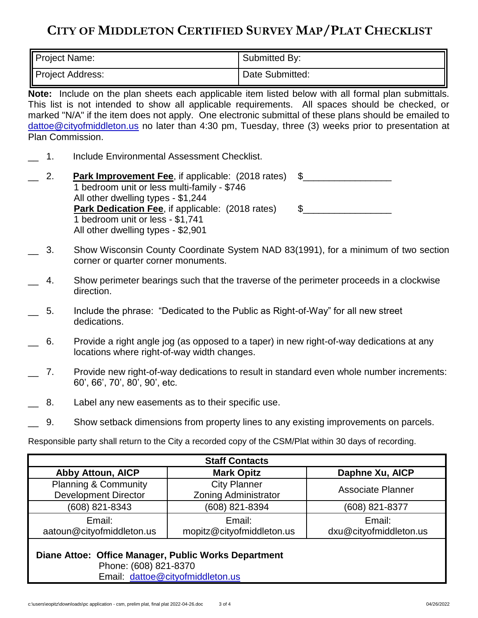# **CITY OF MIDDLETON CERTIFIED SURVEY MAP/PLAT CHECKLIST**

| Project Name:           | Submitted By:   |
|-------------------------|-----------------|
| <b>Project Address:</b> | Date Submitted: |

**Note:** Include on the plan sheets each applicable item listed below with all formal plan submittals. This list is not intended to show all applicable requirements. All spaces should be checked, or marked "N/A" if the item does not apply. One electronic submittal of these plans should be emailed to [dattoe@cityofmiddleton.us](mailto:dattoe@cityofmiddleton.us) no later than 4:30 pm, Tuesday, three (3) weeks prior to presentation at Plan Commission.

- 1. Include Environmental Assessment Checklist.
- 2. **Park Improvement Fee**, if applicable: (2018 rates) \$ 1 bedroom unit or less multi-family - \$746 All other dwelling types - \$1,244 **Park Dedication Fee**, if applicable: (2018 rates) \$\_\_\_\_\_\_\_\_\_\_\_\_\_\_\_\_\_\_\_\_\_\_\_\_\_\_\_\_\_\_ 1 bedroom unit or less - \$1,741 All other dwelling types - \$2,901
- \_\_ 3. Show Wisconsin County Coordinate System NAD 83(1991), for a minimum of two section corner or quarter corner monuments.
- \_\_ 4. Show perimeter bearings such that the traverse of the perimeter proceeds in a clockwise direction.
- \_\_ 5. Include the phrase: "Dedicated to the Public as Right-of-Way" for all new street dedications.
- \_\_ 6. Provide a right angle jog (as opposed to a taper) in new right-of-way dedications at any locations where right-of-way width changes.
- 7. Provide new right-of-way dedications to result in standard even whole number increments: 60', 66', 70', 80', 90', etc.
- 8. Label any new easements as to their specific use.
- \_\_ 9. Show setback dimensions from property lines to any existing improvements on parcels.

Responsible party shall return to the City a recorded copy of the CSM/Plat within 30 days of recording.

| <b>Staff Contacts</b>                                          |                                                    |                                  |  |
|----------------------------------------------------------------|----------------------------------------------------|----------------------------------|--|
| <b>Abby Attoun, AICP</b>                                       | <b>Mark Opitz</b>                                  | Daphne Xu, AICP                  |  |
| <b>Planning &amp; Community</b><br><b>Development Director</b> | <b>City Planner</b><br><b>Zoning Administrator</b> | <b>Associate Planner</b>         |  |
| (608) 821-8343                                                 | (608) 821-8394                                     | (608) 821-8377                   |  |
| Email:<br>aatoun@cityofmiddleton.us                            | Email:<br>mopitz@cityofmiddleton.us                | Email:<br>dxu@cityofmiddleton.us |  |
| Diane Attoe: Office Manager, Public Works Department           |                                                    |                                  |  |

 Phone: (608) 821-8370 Email: [dattoe@cityofmiddleton.us](mailto:dattoe@cityofmiddleton.us)

 $c:\text{Unser}\space$  hexa opitz\downloads\pc application - csm, prelim plat, final plat 2022-04-26.doc 3 of 4 04/26/2022